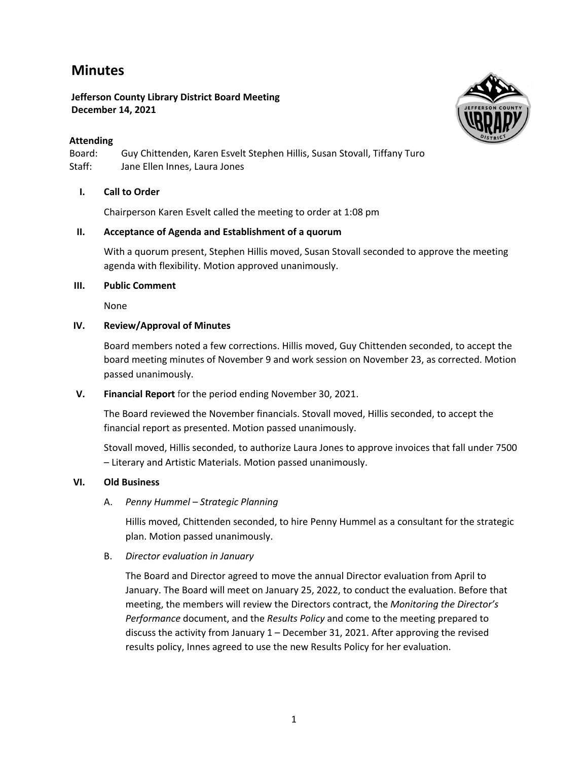# **Minutes**

## **Jefferson County Library District Board Meeting December 14, 2021**

# **Attending**

Board: Guy Chittenden, Karen Esvelt Stephen Hillis, Susan Stovall, Tiffany Turo Staff: Jane Ellen Innes, Laura Jones

# **I. Call to Order**

Chairperson Karen Esvelt called the meeting to order at 1:08 pm

## **II. Acceptance of Agenda and Establishment of a quorum**

With a quorum present, Stephen Hillis moved, Susan Stovall seconded to approve the meeting agenda with flexibility. Motion approved unanimously.

#### **III. Public Comment**

None

#### **IV. Review/Approval of Minutes**

Board members noted a few corrections. Hillis moved, Guy Chittenden seconded, to accept the board meeting minutes of November 9 and work session on November 23, as corrected. Motion passed unanimously.

## **V. Financial Report** for the period ending November 30, 2021.

The Board reviewed the November financials. Stovall moved, Hillis seconded, to accept the financial report as presented. Motion passed unanimously.

Stovall moved, Hillis seconded, to authorize Laura Jones to approve invoices that fall under 7500 – Literary and Artistic Materials. Motion passed unanimously.

## **VI. Old Business**

## A. *Penny Hummel – Strategic Planning*

Hillis moved, Chittenden seconded, to hire Penny Hummel as a consultant for the strategic plan. Motion passed unanimously.

## B. *Director evaluation in January*

The Board and Director agreed to move the annual Director evaluation from April to January. The Board will meet on January 25, 2022, to conduct the evaluation. Before that meeting, the members will review the Directors contract, the *Monitoring the Director's Performance* document, and the *Results Policy* and come to the meeting prepared to discuss the activity from January 1 – December 31, 2021. After approving the revised results policy, Innes agreed to use the new Results Policy for her evaluation.

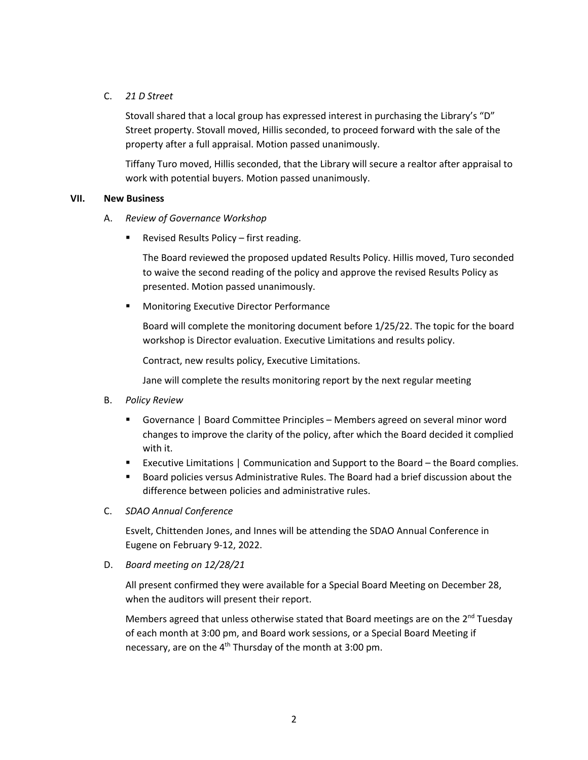# C. *21 D Street*

Stovall shared that a local group has expressed interest in purchasing the Library's "D" Street property. Stovall moved, Hillis seconded, to proceed forward with the sale of the property after a full appraisal. Motion passed unanimously.

Tiffany Turo moved, Hillis seconded, that the Library will secure a realtor after appraisal to work with potential buyers. Motion passed unanimously.

#### **VII. New Business**

- A. *Review of Governance Workshop*
	- § Revised Results Policy first reading.

The Board reviewed the proposed updated Results Policy. Hillis moved, Turo seconded to waive the second reading of the policy and approve the revised Results Policy as presented. Motion passed unanimously.

■ Monitoring Executive Director Performance

Board will complete the monitoring document before 1/25/22. The topic for the board workshop is Director evaluation. Executive Limitations and results policy.

Contract, new results policy, Executive Limitations.

Jane will complete the results monitoring report by the next regular meeting

- B. *Policy Review*
	- Governance | Board Committee Principles Members agreed on several minor word changes to improve the clarity of the policy, after which the Board decided it complied with it.
	- Executive Limitations | Communication and Support to the Board the Board complies.
	- Board policies versus Administrative Rules. The Board had a brief discussion about the difference between policies and administrative rules.
- C. *SDAO Annual Conference*

Esvelt, Chittenden Jones, and Innes will be attending the SDAO Annual Conference in Eugene on February 9-12, 2022.

D. *Board meeting on 12/28/21*

All present confirmed they were available for a Special Board Meeting on December 28, when the auditors will present their report.

Members agreed that unless otherwise stated that Board meetings are on the  $2<sup>nd</sup>$  Tuesday of each month at 3:00 pm, and Board work sessions, or a Special Board Meeting if necessary, are on the  $4<sup>th</sup>$  Thursday of the month at 3:00 pm.